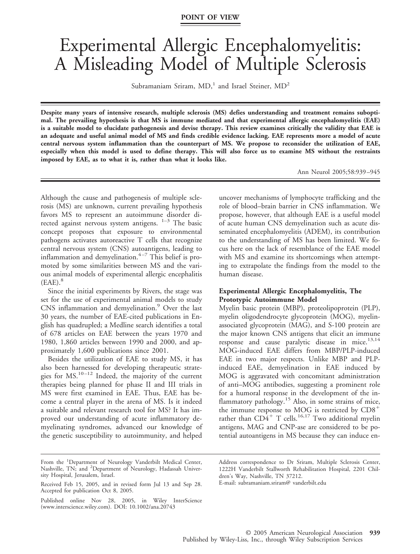# Experimental Allergic Encephalomyelitis: A Misleading Model of Multiple Sclerosis

Subramaniam Sriram,  $MD<sub>1</sub><sup>1</sup>$  and Israel Steiner,  $MD<sub>2</sub><sup>2</sup>$ 

**Despite many years of intensive research, multiple sclerosis (MS) defies understanding and treatment remains suboptimal. The prevailing hypothesis is that MS is immune mediated and that experimental allergic encephalomyelitis (EAE) is a suitable model to elucidate pathogenesis and devise therapy. This review examines critically the validity that EAE is an adequate and useful animal model of MS and finds credible evidence lacking. EAE represents more a model of acute central nervous system inflammation than the counterpart of MS. We propose to reconsider the utilization of EAE, especially when this model is used to define therapy. This will also force us to examine MS without the restraints imposed by EAE, as to what it is, rather than what it looks like.**

Ann Neurol 2005;58:939 –945

Although the cause and pathogenesis of multiple sclerosis (MS) are unknown, current prevailing hypothesis favors MS to represent an autoimmune disorder directed against nervous system antigens.  $1-3$  The basic concept proposes that exposure to environmental pathogens activates autoreactive T cells that recognize central nervous system (CNS) autoantigens, leading to inflammation and demyelination. $4-7$  This belief is promoted by some similarities between MS and the various animal models of experimental allergic encephalitis  $(EAE)^8$ 

Since the initial experiments by Rivers, the stage was set for the use of experimental animal models to study CNS inflammation and demyelination.<sup>9</sup> Over the last 30 years, the number of EAE-cited publications in English has quadrupled; a Medline search identifies a total of 678 articles on EAE between the years 1970 and 1980, 1,860 articles between 1990 and 2000, and approximately 1,600 publications since 2001.

Besides the utilization of EAE to study MS, it has also been harnessed for developing therapeutic strategies for  $MS.10-12$  Indeed, the majority of the current therapies being planned for phase II and III trials in MS were first examined in EAE. Thus, EAE has become a central player in the arena of MS. Is it indeed a suitable and relevant research tool for MS? It has improved our understanding of acute inflammatory demyelinating syndromes, advanced our knowledge of the genetic susceptibility to autoimmunity, and helped

uncover mechanisms of lymphocyte trafficking and the role of blood–brain barrier in CNS inflammation. We propose, however, that although EAE is a useful model of acute human CNS demyelination such as acute disseminated encephalomyelitis (ADEM), its contribution to the understanding of MS has been limited. We focus here on the lack of resemblance of the EAE model with MS and examine its shortcomings when attempting to extrapolate the findings from the model to the human disease.

### **Experimental Allergic Encephalomyelitis, The Prototypic Autoimmune Model**

Myelin basic protein (MBP), proteolipoprotein (PLP), myelin oligodendrocyte glycoprotein (MOG), myelinassociated glycoprotein (MAG), and S-100 protein are the major known CNS antigens that elicit an immune response and cause paralytic disease in mice.<sup>13,14</sup> MOG-induced EAE differs from MBP/PLP-induced EAE in two major respects. Unlike MBP and PLPinduced EAE, demyelination in EAE induced by MOG is aggravated with concomitant administration of anti–MOG antibodies, suggesting a prominent role for a humoral response in the development of the inflammatory pathology.<sup>15</sup> Also, in some strains of mice, the immune response to MOG is restricted by CD8 rather than  $CD4^+$  T cells.<sup>16,17</sup> Two additional myelin antigens, MAG and CNP-ase are considered to be potential autoantigens in MS because they can induce en-

Address correspondence to Dr Sriram, Multiple Sclerosis Center, 1222H Vanderbilt Stallworth Rehabilitation Hospital, 2201 Children's Way, Nashville, TN 37212.

E-mail: subramaniam.sriram@ vanderbilt.edu

From the <sup>1</sup>Department of Neurology Vanderbilt Medical Center,<br>Nashville, TN; and <sup>2</sup>Department of Neurology, Hadassah University Hospital, Jerusalem, Israel.

Received Feb 15, 2005, and in revised form Jul 13 and Sep 28. Accepted for publication Oct 8, 2005.

Published online Nov 28, 2005, in Wiley InterScience (www.interscience.wiley.com). DOI: 10.1002/ana.20743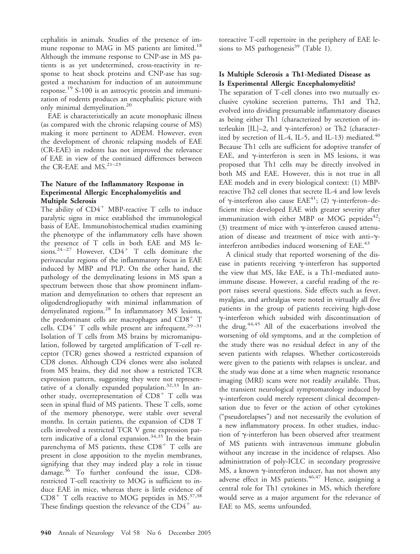cephalitis in animals. Studies of the presence of immune response to MAG in MS patients are limited.<sup>18</sup> Although the immune response to CNP-ase in MS patients is as yet undetermined, cross-reactivity in response to heat shock proteins and CNP-ase has suggested a mechanism for induction of an autoimmune response.19 S-100 is an astrocytic protein and immunization of rodents produces an encephalitic picture with only minimal demyelination.20

EAE is characteristically an acute monophasic illness (as compared with the chronic relapsing course of MS) making it more pertinent to ADEM. However, even the development of chronic relapsing models of EAE (CR-EAE) in rodents has not improved the relevance of EAE in view of the continued differences between the CR-EAE and MS.<sup>21-23</sup>

### **The Nature of the Inflammatory Response in Experimental Allergic Encephalomyelitis and Multiple Sclerosis**

The ability of  $CD4^+$  MBP-reactive T cells to induce paralytic signs in mice established the immunological basis of EAE. Immunohistochemical studies examining the phenotype of the inflammatory cells have shown the presence of T cells in both EAE and MS lesions.<sup>24-27</sup> However,  $CD4^+$  T cells dominate the perivascular regions of the inflammatory focus in EAE induced by MBP and PLP. On the other hand, the pathology of the demyelinating lesions in MS span a spectrum between those that show prominent inflammation and demyelination to others that represent an oligodendrogliopathy with minimal inflammation of demyelinated regions.<sup>28</sup> In inflammatory MS lesions, the predominant cells are macrophages and  $CD8<sup>+</sup>$  T cells.  $CD4^+$  T cells while present are infrequent.<sup>29-31</sup> Isolation of T cells from MS brains by micromanipulation, followed by targeted amplification of T-cell receptor (TCR) genes showed a restricted expansion of CD8 clones. Although CD4 clones were also isolated from MS brains, they did not show a restricted TCR expression pattern, suggesting they were not representative of a clonally expanded population.<sup>32,33</sup> In another study, overrepresentation of  $CD8<sup>+</sup>$  T cells was seen in spinal fluid of MS patients. These T cells, some of the memory phenotype, were stable over several months. In certain patients, the expansion of CD8 T cells involved a restricted TCR V gene expression pattern indicative of a clonal expansion.<sup>34,35</sup> In the brain parenchyma of MS patients, these  $CD8<sup>+</sup>$  T cells are present in close apposition to the myelin membranes, signifying that they may indeed play a role in tissue damage.<sup>36</sup> To further confound the issue, CD8restricted T-cell reactivity to MOG is sufficient to induce EAE in mice, whereas there is little evidence of  $CDS<sup>+</sup>$  T cells reactive to MOG peptides in MS.<sup>37,38</sup> These findings question the relevance of the  $CD4^+$  autoreactive T-cell repertoire in the periphery of EAE lesions to MS pathogenesis $39$  (Table 1).

## **Is Multiple Sclerosis a Th1-Mediated Disease as Is Experimental Allergic Encephalomyelitis?**

The separation of T-cell clones into two mutually exclusive cytokine secretion patterns, Th1 and Th2, evolved into dividing presumable inflammatory diseases as being either Th1 (characterized by secretion of interleukin [IL]-2, and  $\gamma$ -interferon) or Th2 (characterized by secretion of IL-4, IL-5, and IL-13) mediated. $40$ Because Th1 cells are sufficient for adoptive transfer of EAE, and  $\gamma$ -interferon is seen in MS lesions, it was proposed that Th1 cells may be directly involved in both MS and EAE. However, this is not true in all EAE models and in every biological context: (1) MBPreactive Th2 cell clones that secrete IL-4 and low levels of  $\gamma$ -interferon also cause EAE<sup>41</sup>; (2)  $\gamma$ -interferon-deficient mice developed EAE with greater severity after immunization with either MBP or MOG peptides<sup>42</sup>; (3) treatment of mice with  $\gamma$ -interferon caused attenuation of disease and treatment of mice with anti- $\gamma$ interferon antibodies induced worsening of EAE.<sup>43</sup>

A clinical study that reported worsening of the disease in patients receiving  $\gamma$ -interferon has supported the view that MS, like EAE, is a Th1-mediated autoimmune disease. However, a careful reading of the report raises several questions. Side effects such as fever, myalgias, and arthralgias were noted in virtually all five patients in the group of patients receiving high-dose --interferon which subsided with discontinuation of the drug.<sup>44,45</sup> All of the exacerbations involved the worsening of old symptoms, and at the completion of the study there was no residual defect in any of the seven patients with relapses. Whether corticosteroids were given to the patients with relapses is unclear, and the study was done at a time when magnetic resonance imaging (MRI) scans were not readily available. Thus, the transient neurological symptomatology induced by --interferon could merely represent clinical decompensation due to fever or the action of other cytokines ("pseudorelapses") and not necessarily the evolution of a new inflammatory process. In other studies, induction of  $\gamma$ -interferon has been observed after treatment of MS patients with intravenous immune globulin without any increase in the incidence of relapses. Also administration of poly-ICLC in secondary progressive MS, a known  $\gamma$ -interferon inducer, has not shown any adverse effect in MS patients.<sup>46,47</sup> Hence, assigning a central role for Th1 cytokines in MS, which therefore would serve as a major argument for the relevance of EAE to MS, seems unfounded.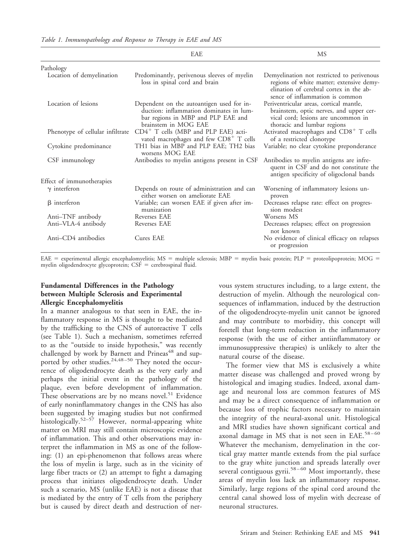|                                  | EAE                                                                                                                                                | MS                                                                                                                                                                   |
|----------------------------------|----------------------------------------------------------------------------------------------------------------------------------------------------|----------------------------------------------------------------------------------------------------------------------------------------------------------------------|
| Pathology                        |                                                                                                                                                    |                                                                                                                                                                      |
| Location of demyelination        | Predominantly, perivenous sleeves of myelin<br>loss in spinal cord and brain                                                                       | Demyelination not restricted to perivenous<br>regions of white matter; extensive demy-<br>elination of cerebral cortex in the ab-<br>sence of inflammation is common |
| Location of lesions              | Dependent on the autoantigen used for in-<br>duction: inflammation dominates in lum-<br>bar regions in MBP and PLP EAE and<br>brainstem in MOG EAE | Periventricular areas, cortical mantle,<br>brainstem, optic nerves, and upper cer-<br>vical cord; lesions are uncommon in<br>thoracic and lumbar regions             |
| Phenotype of cellular infiltrate | $CD4^+$ T cells (MBP and PLP EAE) acti-<br>vated macrophages and few CD8 <sup>+</sup> T cells                                                      | Activated macrophages and CD8 <sup>+</sup> T cells<br>of a restricted clonotype                                                                                      |
| Cytokine predominance            | TH1 bias in MBP and PLP EAE; TH2 bias<br>worsens MOG EAE                                                                                           | Variable; no clear cytokine preponderance                                                                                                                            |
| CSF immunology                   | Antibodies to myelin antigens present in CSF                                                                                                       | Antibodies to myelin antigens are infre-<br>quent in CSF and do not constitute the<br>antigen specificity of oligoclonal bands                                       |
| Effect of immunotherapies        |                                                                                                                                                    |                                                                                                                                                                      |
| $\gamma$ interferon              | Depends on route of administration and can<br>either worsen on ameliorate EAE                                                                      | Worsening of inflammatory lesions un-<br>proven                                                                                                                      |
| $\beta$ interferon               | Variable; can worsen EAE if given after im-<br>munization                                                                                          | Decreases relapse rate: effect on progres-<br>sion modest                                                                                                            |
| Anti-TNF antibody                | Reverses EAE                                                                                                                                       | Worsens MS                                                                                                                                                           |
| Anti-VLA-4 antibody              | Reverses EAE                                                                                                                                       | Decreases relapses; effect on progression<br>not known                                                                                                               |
| Anti-CD4 antibodies              | Cures EAE                                                                                                                                          | No evidence of clinical efficacy on relapses<br>or progression                                                                                                       |

 $EAE =$  experimental allergic encephalomyelitis;  $MS =$  multiple sclerosis;  $MBP =$  myelin basic protein;  $PLP =$  proteolipoprotein;  $MOG =$ myelin oligodendrocyte glycoprotein;  $CSF =$  cerebrospinal fluid.

### **Fundamental Differences in the Pathology between Multiple Sclerosis and Experimental Allergic Encephalomyelitis**

In a manner analogous to that seen in EAE, the inflammatory response in MS is thought to be mediated by the trafficking to the CNS of autoreactive T cells (see Table 1). Such a mechanism, sometimes referred to as the "outside to inside hypothesis," was recently challenged by work by Barnett and Prineas<sup>48</sup> and supported by other studies. $24,48-50$  They noted the occurrence of oligodendrocyte death as the very early and perhaps the initial event in the pathology of the plaque, even before development of inflammation. These observations are by no means novel.<sup>51</sup> Evidence of early noninflammatory changes in the CNS has also been suggested by imaging studies but not confirmed histologically.<sup>52–57</sup> However, normal-appearing white matter on MRI may still contain microscopic evidence of inflammation. This and other observations may interpret the inflammation in MS as one of the following: (1) an epi-phenomenon that follows areas where the loss of myelin is large, such as in the vicinity of large fiber tracts or (2) an attempt to fight a damaging process that initiates oligodendrocyte death. Under such a scenario, MS (unlike EAE) is not a disease that is mediated by the entry of T cells from the periphery but is caused by direct death and destruction of nervous system structures including, to a large extent, the destruction of myelin. Although the neurological consequences of inflammation, induced by the destruction of the oligodendrocyte-myelin unit cannot be ignored and may contribute to morbidity, this concept will foretell that long-term reduction in the inflammatory response (with the use of either antiinflammatory or immunosuppressive therapies) is unlikely to alter the natural course of the disease.

The former view that MS is exclusively a white matter disease was challenged and proved wrong by histological and imaging studies. Indeed, axonal damage and neuronal loss are common features of MS and may be a direct consequence of inflammation or because loss of trophic factors necessary to maintain the integrity of the neural-axonal unit. Histological and MRI studies have shown significant cortical and axonal damage in MS that is not seen in EAE. $58-60$ Whatever the mechanism, demyelination in the cortical gray matter mantle extends from the pial surface to the gray white junction and spreads laterally over several contiguous gyrii.<sup>58-60</sup> Most importantly, these areas of myelin loss lack an inflammatory response. Similarly, large regions of the spinal cord around the central canal showed loss of myelin with decrease of neuronal structures.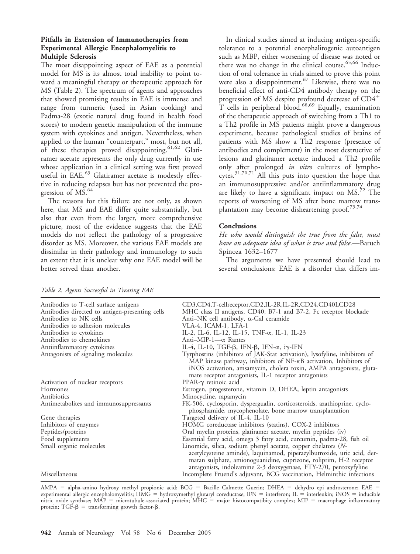### **Pitfalls in Extension of Immunotherapies from Experimental Allergic Encephalomyelitis to Multiple Sclerosis**

The most disappointing aspect of EAE as a potential model for MS is its almost total inability to point toward a meaningful therapy or therapeutic approach for MS (Table 2). The spectrum of agents and approaches that showed promising results in EAE is immense and range from turmeric (used in Asian cooking) and Padma-28 (exotic natural drug found in health food stores) to modern genetic manipulation of the immune system with cytokines and antigen. Nevertheless, when applied to the human "counterpart," most, but not all, of these therapies proved disappointing.<sup>61,62</sup> Glatiramer acetate represents the only drug currently in use whose application in a clinical setting was first proved useful in EAE.<sup>63</sup> Glatiramer acetate is modestly effective in reducing relapses but has not prevented the progression of MS.64

The reasons for this failure are not only, as shown here, that MS and EAE differ quite substantially, but also that even from the larger, more comprehensive picture, most of the evidence suggests that the EAE models do not reflect the pathology of a progressive disorder as MS. Moreover, the various EAE models are dissimilar in their pathology and immunology to such an extent that it is unclear why one EAE model will be better served than another.

In clinical studies aimed at inducing antigen-specific tolerance to a potential encephalitogenic autoantigen such as MBP, either worsening of disease was noted or there was no change in the clinical course.<sup>65,66</sup> Induction of oral tolerance in trials aimed to prove this point were also a disappointment.<sup>67</sup> Likewise, there was no beneficial effect of anti-CD4 antibody therapy on the progression of MS despite profound decrease of CD4 T cells in peripheral blood.68,69 Equally, examination of the therapeutic approach of switching from a Th1 to a Th2 profile in MS patients might prove a dangerous experiment, because pathological studies of brains of patients with MS show a Th2 response (presence of antibodies and complement) in the most destructive of lesions and glatiramer acetate induced a Th2 profile only after prolonged *in vitro* cultures of lymphocytes.31,70,71 All this puts into question the hope that an immunosuppressive and/or antiinflammatory drug are likely to have a significant impact on MS.<sup>72</sup> The reports of worsening of MS after bone marrow transplantation may become disheartening proof.<sup>73,74</sup>

### **Conclusions**

*He who would distinguish the true from the false, must have an adequate idea of what is true and false*.—Baruch Spinoza 1632–1677

The arguments we have presented should lead to several conclusions: EAE is a disorder that differs im-

*Table 2. Agents Successful in Treating EAE*

| Antibodies to T-cell surface antigens<br>Antibodies directed to antigen-presenting cells<br>Antibodies to NK cells<br>Antibodies to adhesion molecules<br>Antibodies to cytokines<br>Antibodies to chemokines<br>Antiinflammatory cytokines<br>Antagonists of signaling molecules | CD3,CD4,T-cellreceptor,CD2,IL-2R,IL-2R,CD24,CD40LCD28<br>MHC class II antigens, CD40, B7-1 and B7-2, Fc receptor blockade<br>Anti-NK cell antibody, $\alpha$ -Gal ceramide<br>VLA-4, ICAM-1, LFA-1<br>IL-2, IL-6, IL-12, IL-15, TNF-α, IL-1, IL-23<br>Anti-MIP-1— $\alpha$ Rantes<br>IL-4, IL-10, TGF- $\beta$ , IFN- $\beta$ , IFN- $\alpha$ , ? $\gamma$ -IFN<br>Tyrphostins (inhibitors of JAK-Stat activation), lysofyline, inhibitors of<br>MAP kinase pathway, inhibitors of NF-KB activation, Inhibitors of<br>iNOS activation, amsamycin, cholera toxin, AMPA antagonists, gluta-<br>mate receptor antagonists, IL-1 receptor antagonists |
|-----------------------------------------------------------------------------------------------------------------------------------------------------------------------------------------------------------------------------------------------------------------------------------|---------------------------------------------------------------------------------------------------------------------------------------------------------------------------------------------------------------------------------------------------------------------------------------------------------------------------------------------------------------------------------------------------------------------------------------------------------------------------------------------------------------------------------------------------------------------------------------------------------------------------------------------------|
| Activation of nuclear receptors                                                                                                                                                                                                                                                   | PPAR- $\gamma$ retinoic acid                                                                                                                                                                                                                                                                                                                                                                                                                                                                                                                                                                                                                      |
| Hormones                                                                                                                                                                                                                                                                          | Estrogen, progesterone, vitamin D, DHEA, leptin antagonists                                                                                                                                                                                                                                                                                                                                                                                                                                                                                                                                                                                       |
| Antibiotics                                                                                                                                                                                                                                                                       | Minocycline, rapamycin                                                                                                                                                                                                                                                                                                                                                                                                                                                                                                                                                                                                                            |
| Antimetabolites and immunosuppressants                                                                                                                                                                                                                                            | FK-506, cyclosporin, dyspergualin, corticosteroids, azathioprine, cyclo-<br>phosphamide, mycophenolate, bone marrow transplantation                                                                                                                                                                                                                                                                                                                                                                                                                                                                                                               |
| Gene therapies                                                                                                                                                                                                                                                                    | Targeted delivery of IL-4, IL-10                                                                                                                                                                                                                                                                                                                                                                                                                                                                                                                                                                                                                  |
| Inhibitors of enzymes                                                                                                                                                                                                                                                             | HOMG coreductase inhibitors (statins), COX-2 inhibitors                                                                                                                                                                                                                                                                                                                                                                                                                                                                                                                                                                                           |
| Peptides/proteins                                                                                                                                                                                                                                                                 | Oral myelin proteins, glatiramer acetate, myelin peptides (iv)                                                                                                                                                                                                                                                                                                                                                                                                                                                                                                                                                                                    |
| Food supplements                                                                                                                                                                                                                                                                  | Essential fatty acid, omega 3 fatty acid, curcumin, padma-28, fish oil                                                                                                                                                                                                                                                                                                                                                                                                                                                                                                                                                                            |
| Small organic molecules                                                                                                                                                                                                                                                           | Linomide, silica, sodium phenyl acetate, copper chelators (N-<br>acetylcysteine aminde), laquinamod, piperazylbutroxide, uric acid, der-<br>matan sulphate, amionoguanidine, cuprizone, roliprim, H-2 receptor<br>antagonists, indoleamine 2-3 deoxygenase, FTY-270, pentoxyfyline                                                                                                                                                                                                                                                                                                                                                                |
| Miscellaneous                                                                                                                                                                                                                                                                     | Incomplete Fruend's adjuvant, BCG vaccination, Helminthic infections                                                                                                                                                                                                                                                                                                                                                                                                                                                                                                                                                                              |

AMPA = alpha-amino hydroxy methyl propionic acid; BCG = Bacille Calmette Guerin; DHEA = dehydro epi androsterone; EAE = experimental allergic encephalomyelitis;  $\angle HMG =$  hydroxymethyl glutaryl coreductase; IFN = interferon; IL = interleukin; iNOS = inducible nitric oxide synthase; MAP = microtubule-associated protein; MHC = major histocompatibity complex; MIP = macrophage inflammatory protein; TGF- $\beta$  = transforming growth factor- $\beta$ .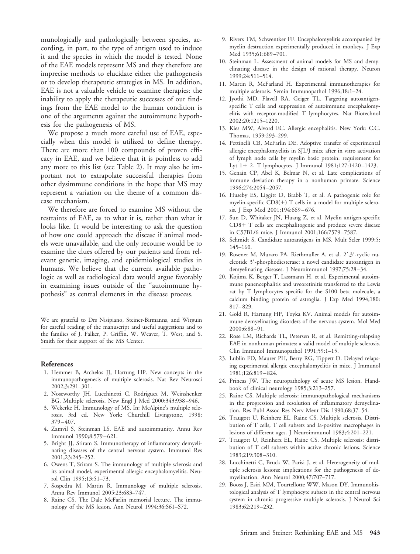munologically and pathologically between species, according, in part, to the type of antigen used to induce it and the species in which the model is tested. None of the EAE models represent MS and they therefore are imprecise methods to elucidate either the pathogenesis or to develop therapeutic strategies in MS. In addition, EAE is not a valuable vehicle to examine therapies: the inability to apply the therapeutic successes of our findings from the EAE model to the human condition is one of the arguments against the autoimmune hypothesis for the pathogenesis of MS.

We propose a much more careful use of EAE, especially when this model is utilized to define therapy. There are more than 100 compounds of proven efficacy in EAE, and we believe that it is pointless to add any more to this list (see Table 2). It may also be important not to extrapolate successful therapies from other dysimmune conditions in the hope that MS may represent a variation on the theme of a common disease mechanism.

We therefore are forced to examine MS without the restraints of EAE, as to what it is, rather than what it looks like. It would be interesting to ask the question of how one could approach the disease if animal models were unavailable, and the only recourse would be to examine the clues offered by our patients and from relevant genetic, imaging, and epidemiological studies in humans. We believe that the current available pathologic as well as radiological data would argue favorably in examining issues outside of the "autoimmune hypothesis" as central elements in the disease process.

We are grateful to Drs Nisipiano, Steiner-Birmanns, and Wirguin for careful reading of the manuscript and useful suggestions and to the families of J. Falker, P. Griffin, W. Weaver, T. West, and S. Smith for their support of the MS Center.

#### **References**

- 1. Hemmer B, Archelos JJ, Hartung HP. New concepts in the immunopathogenesis of multiple sclerosis. Nat Rev Neurosci 2002;3:291–301.
- 2. Noseworthy JH, Lucchinetti C, Rodriguez M, Weinshenker BG. Multiple sclerosis. New Engl J Med 2000;343:938 –946.
- 3. Wekerke H. Immunology of MS. In: McAlpine's multiple sclerosis. 3rd ed. New York: Churchill Livingstone, 1998: 379 – 407.
- 4. Zamvil S, Steinman LS. EAE and autoimmunity. Annu Rev Immunol 1990;8:579 – 621.
- 5. Bright JJ, Sriram S. Immunotherapy of inflammatory demyelinating diseases of the central nervous system. Immunol Res 2001;23:245–252.
- 6. Owens T, Sriram S. The immunology of multiple sclerosis and its animal model, experimental allergic encephalomyelitis. Neurol Clin 1995;13:51–73.
- 7. Sospedra M, Martin R. Immunology of multiple sclerosis. Annu Rev Immunol 2005;23:683–747.
- 8. Raine CS. The Dale McFarlin memorial lecture. The immunology of the MS lesion. Ann Neurol 1994;36:S61–S72.
- 9. Rivers TM, Schwentker FF. Encephalomyelitis accompanied by myelin destruction experimentally produced in monkeys. J Exp Med 1935;61:689 –701.
- 10. Steinman L. Assessment of animal models for MS and demyelinating disease in the design of rational therapy. Neuron 1999;24:511–514.
- 11. Martin R, McFarland H. Experimental immunotherapies for multiple sclerosis. Semin Immunopathol 1996;18:1–24.
- 12. Jyothi MD, Flavell RA, Geiger TL. Targeting autoantigenspecific T cells and suppression of autoimmune encephalomyelitis with receptor-modified T lymphocytes. Nat Biotechnol 2002;20:1215–1220.
- 13. Kies MW, Alvord EC. Allergic encephalitis. New York: C.C. Thomas, 1959:293–299.
- 14. Pettinelli CB, McFarlin DE. Adoptive transfer of experimental allergic encephalomyelitis in SJL/J mice after in vitro activation of lymph node cells by myelin basic protein: requirement for Lyt 1+ 2- T lymphocytes. J Immunol 1981;127:1420-1423.
- 15. Genain CP, Abel K, Belmar N, et al. Late complications of immune deviation therapy in a nonhuman primate. Science 1996;274:2054 –2057.
- 16. Huseby ES, Liggitt D, Brabb T, et al. A pathogenic role for myelin-specific  $CD8(+)$  T cells in a model for multiple sclerosis. J Exp Med 2001;194:669-676.
- 17. Sun D, Whitaker JN, Huang Z, et al. Myelin antigen-specific  $CD8+T$  cells are encephalitogenic and produce severe disease in C57BL/6 mice. J Immunol 2001;166:7579 –7587.
- 18. Schmidt S. Candidate autoantigens in MS. Mult Scler 1999;5: 145–160.
- 19. Rosener M, Muraro PA, Riethmuller A, et al. 2',3'-cyclic nucleotide 3'-phosphodiesterase: a novel candidate autoantigen in demyelinating diseases. J Neuroimmunol 1997;75:28 –34.
- 20. Kojima K, Berger T, Lassmann H, et al. Experimental autoimmune panencephalitis and uveoretinitis transferred to the Lewis rat by T lymphocytes specific for the S100 beta molecule, a calcium binding protein of astroglia. J Exp Med 1994;180: 817– 829.
- 21. Gold R, Hartung HP, Toyka KV. Animal models for autoimmune demyelinating disorders of the nervous system. Mol Med 2000;6:88 –91.
- 22. Rose LM, Richards TL, Petersen R, et al. Remitting-relapsing EAE in nonhuman primates: a valid model of multiple sclerosis. Clin Immunol Immunopathol 1991;59:1–15.
- 23. Lublin FD, Maurer PH, Berry RG, Tippett D. Delayed relapsing experimental allergic encephalomyelitis in mice. J Immunol 1981;126:819 – 824.
- 24. Prineas JW. The neuropathology of acute MS lesion. Handbook of clinical neurology 1985;3:213–257.
- 25. Raine CS. Multiple sclerosis: immunopathological mechanisms in the progression and resolution of inflammatory demyelination. Res Publ Assoc Res Nerv Ment Dis 1990;68:37–54.
- 26. Traugott U, Reinherz EL, Raine CS. Multiple sclerosis. Distribution of T cells, T cell subsets and Ia-positive macrophages in lesions of different ages. J Neuroimmunol 1983;4:201–221.
- 27. Traugott U, Reinherz EL, Raine CS. Multiple sclerosis: distribution of T cell subsets within active chronic lesions. Science 1983;219:308 –310.
- 28. Lucchinetti C, Bruck W, Parisi J, et al. Heterogeneity of multiple sclerosis lesions: implications for the pathogenesis of demyelination. Ann Neurol 2000;47:707–717.
- 29. Booss J, Esiri MM, Tourtellotte WW, Mason DY. Immunohistological analysis of T lymphocyte subsets in the central nervous system in chronic progressive multiple sclerosis. J Neurol Sci 1983;62:219 –232.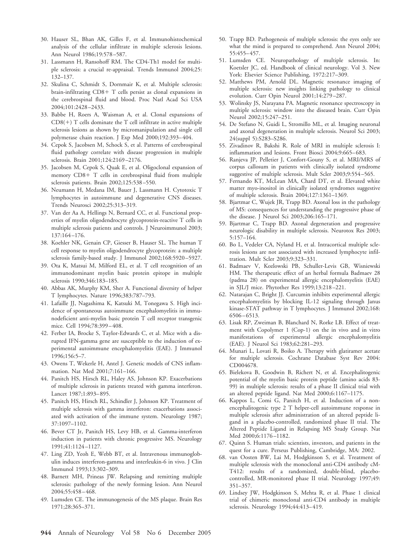- 30. Hauser SL, Bhan AK, Gilles F, et al. Immunohistochemical analysis of the cellular infiltrate in multiple sclerosis lesions. Ann Neurol 1986;19:578 –587.
- 31. Lassmann H, Ransohoff RM. The CD4-Th1 model for multiple sclerosis: a crucial re-appraisal. Trends Immunol 2004;25: 132–137.
- 32. Skulina C, Schmidt S, Dornmair K, et al. Multiple sclerosis: brain-infiltrating  $CD8+T$  cells persist as clonal expansions in the cerebrospinal fluid and blood. Proc Natl Acad Sci USA 2004;101:2428 –2433.
- 33. Babbe H, Roers A, Waisman A, et al. Clonal expansions of  $CD8(+)$  T cells dominate the T cell infiltrate in active multiple sclerosis lesions as shown by micromanipulation and single cell polymerase chain reaction. J Exp Med 2000;192:393– 404.
- 34. Cepok S, Jacobsen M, Schock S, et al. Patterns of cerebrospinal fluid pathology correlate with disease progression in multiple sclerosis. Brain 2001;124:2169 –2176.
- 35. Jacobsen M, Cepok S, Quak E, et al. Oligoclonal expansion of memory  $CD8+T$  cells in cerebrospinal fluid from multiple sclerosis patients. Brain 2002;125:538 –550.
- 36. Neumann H, Medana IM, Bauer J, Lassmann H. Cytotoxic T lymphocytes in autoimmune and degenerative CNS diseases. Trends Neurosci 2002;25:313–319.
- 37. Van der Aa A, Hellings N, Bernard CC, et al. Functional properties of myelin oligodendrocyte glycoprotein-reactive T cells in multiple sclerosis patients and controls. J Neuroimmunol 2003; 137:164 –176.
- 38. Koehler NK, Genain CP, Giesser B, Hauser SL. The human T cell response to myelin oligodendrocyte glycoprotein: a multiple sclerosis family-based study. J Immunol 2002;168:5920 –5927.
- 39. Ota K, Matsui M, Milford EL, et al. T cell recognition of an immunodominant myelin basic protein epitope in multiple sclerosis 1990;346:183–185.
- 40. Abbas AK, Murphy KM, Sher A. Functional diversity of helper T lymphocytes. Nature 1996;383:787–793.
- 41. Lafaille JJ, Nagashima K, Katsuki M, Tonegawa S. High incidence of spontaneous autoimmune encephalomyelitis in immunodeficient anti-myelin basic protein T cell receptor transgenic mice. Cell 1994;78:399 – 408.
- 42. Ferber IA, Brocke S, Taylor-Edwards C, et al. Mice with a disrupted IFN-gamma gene are susceptible to the induction of experimental autoimmune encephalomyelitis (EAE). J Immunol 1996;156:5–7.
- 43. Owens T, Wekerle H, Antel J. Genetic models of CNS inflammation. Nat Med 2001;7:161–166.
- 44. Panitch HS, Hirsch RL, Haley AS, Johnson KP. Exacerbations of multiple sclerosis in patients treated with gamma interferon. Lancet 1987;1:893– 895.
- 45. Panitch HS, Hirsch RL, Schindler J, Johnson KP. Treatment of multiple sclerosis with gamma interferon: exacerbations associated with activation of the immune system. Neurology 1987; 37:1097–1102.
- 46. Bever CT Jr, Panitch HS, Levy HB, et al. Gamma-interferon induction in patients with chronic progressive MS. Neurology 1991;41:1124 –1127.
- 47. Ling ZD, Yeoh E, Webb BT, et al. Intravenous immunoglobulin induces interferon-gamma and interleukin-6 in vivo. J Clin Immunol 1993;13:302–309.
- 48. Barnett MH, Prineas JW. Relapsing and remitting multiple sclerosis: pathology of the newly forming lesion. Ann Neurol 2004;55:458 – 468.
- 49. Lumsden CE. The immunogenesis of the MS plaque. Brain Res 1971;28:365–371.
- 50. Trapp BD. Pathogenesis of multiple sclerosis: the eyes only see what the mind is prepared to comprehend. Ann Neurol 2004; 55:455– 457.
- 51. Lumsden CE. Neuropathology of multiple sclerosis. In: Koetsler JC, ed. Handbook of clinical neurology. Vol 3. New York: Elsevier Science Publishing, 1972:217–309.
- 52. Matthews PM, Arnold DL. Magnetic resonance imaging of multiple sclerosis: new insights linking pathology to clinical evolution. Curr Opin Neurol 2001;14:279 –287.
- 53. Wolinsky JS, Narayana PA. Magnetic resonance spectroscopy in multiple sclerosis: window into the diseased brain. Curr Opin Neurol 2002;15:247–251.
- 54. De Stefano N, Guidi L, Stromillo ML, et al. Imaging neuronal and axonal degeneration in multiple sclerosis. Neurol Sci 2003; 24(suppl 5):S283–S286.
- 55. Zivadinov R, Bakshi R. Role of MRI in multiple sclerosis I: inflammation and lesions. Front Biosci 2004;9:665– 683.
- 56. Ranjeva JP, Pelletier J, Confort-Gouny S, et al. MRI/MRS of corpus callosum in patients with clinically isolated syndrome suggestive of multiple sclerosis. Mult Scler 2003;9:554 –565.
- 57. Fernando KT, McLean MA, Chard DT, et al. Elevated white matter myo-inositol in clinically isolated syndromes suggestive of multiple sclerosis. Brain 2004;127:1361–1369.
- 58. Bjartmar C, Wujek JR, Trapp BD. Axonal loss in the pathology of MS: consequences for understanding the progressive phase of the disease. J Neurol Sci 2003;206:165–171.
- 59. Bjartmar C, Trapp BD. Axonal degeneration and progressive neurologic disability in multiple sclerosis. Neurotox Res 2003; 5:157–164.
- 60. Bo L, Vedeler CA, Nyland H, et al. Intracortical multiple sclerosis lesions are not associated with increased lymphocyte infiltration. Mult Scler 2003;9:323–331.
- 61. Badmaev V, Kozlowski PB, Schuller-Levis GB, Wisniewski HM. The therapeutic effect of an herbal formula Badmaev 28 (padma 28) on experimental allergic encephalomyelitis (EAE) in SJL/J mice. Phytother Res 1999;13:218 –221.
- 62. Natarajan C, Bright JJ. Curcumin inhibits experimental allergic encephalomyelitis by blocking IL-12 signaling through Janus kinase-STAT pathway in T lymphocytes. J Immunol 2002;168: 6506 – 6513.
- 63. Lisak RP, Zweiman B, Blanchard N, Rorke LB. Effect of treatment with Copolymer 1 (Cop-1) on the in vivo and in vitro manifestations of experimental allergic encephalomyelitis (EAE). J Neurol Sci 1983;62:281–293.
- 64. Munari L, Lovati R, Boiko A. Therapy with glatiramer acetate for multiple sclerosis. Cochrane Database Syst Rev 2004: CD004678.
- 65. Bielekova B, Goodwin B, Richert N, et al. Encephalitogenic potential of the myelin basic protein peptide (amino acids 83- 99) in multiple sclerosis: results of a phase II clinical trial with an altered peptide ligand. Nat Med 2000;6:1167–1175.
- 66. Kappos L, Comi G, Panitch H, et al. Induction of a nonencephalitogenic type 2 T helper-cell autoimmune response in multiple sclerosis after administration of an altered peptide ligand in a placebo-controlled, randomized phase II trial. The Altered Peptide Ligand in Relapsing MS Study Group. Nat Med 2000;6:1176 –1182.
- 67. Quinn S. Human trials: scientists, investors, and patients in the quest for a cure. Perseus Publishing, Cambridge, MA: 2002.
- 68. van Oosten BW, Lai M, Hodgkinson S, et al. Treatment of multiple sclerosis with the monoclonal anti-CD4 antibody cM-T412: results of a randomized, double-blind, placebocontrolled, MR-monitored phase II trial. Neurology 1997;49: 351–357.
- 69. Lindsey JW, Hodgkinson S, Mehta R, et al. Phase 1 clinical trial of chimeric monoclonal anti-CD4 antibody in multiple sclerosis. Neurology 1994;44:413– 419.